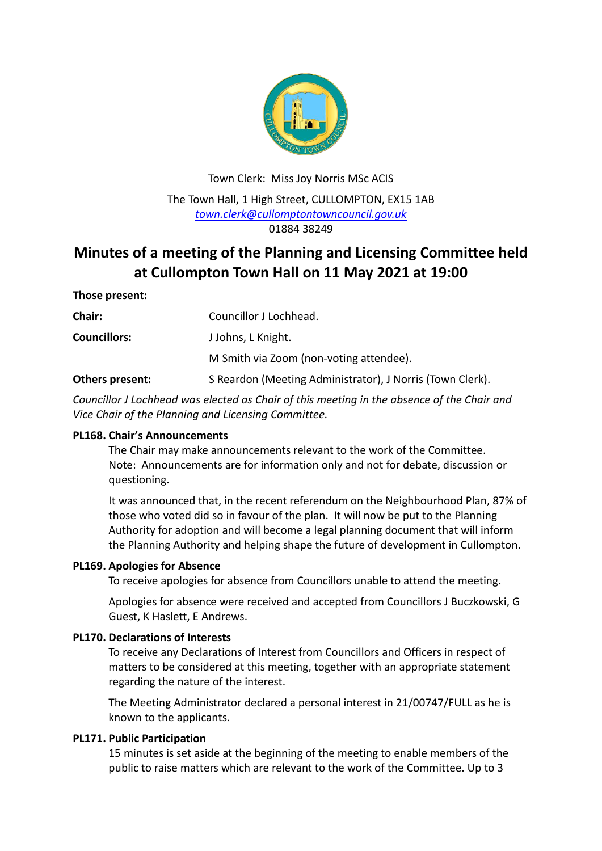

Town Clerk: Miss Joy Norris MSc ACIS The Town Hall, 1 High Street, CULLOMPTON, EX15 1AB *[town.clerk@cullomptontowncouncil.gov.uk](mailto:town.clerk@cullomptontowncouncil.gov.uk)* 01884 38249

# **Minutes of a meeting of the Planning and Licensing Committee held at Cullompton Town Hall on 11 May 2021 at 19:00**

### **Those present:**

| <b>Chair:</b>       | Councillor J Lochhead.                                    |
|---------------------|-----------------------------------------------------------|
| <b>Councillors:</b> | J Johns, L Knight.                                        |
|                     | M Smith via Zoom (non-voting attendee).                   |
| Others present:     | S Reardon (Meeting Administrator), J Norris (Town Clerk). |

*Councillor J Lochhead was elected as Chair of this meeting in the absence of the Chair and Vice Chair of the Planning and Licensing Committee.*

### **PL168. Chair's Announcements**

The Chair may make announcements relevant to the work of the Committee. Note: Announcements are for information only and not for debate, discussion or questioning.

It was announced that, in the recent referendum on the Neighbourhood Plan, 87% of those who voted did so in favour of the plan. It will now be put to the Planning Authority for adoption and will become a legal planning document that will inform the Planning Authority and helping shape the future of development in Cullompton.

### **PL169. Apologies for Absence**

To receive apologies for absence from Councillors unable to attend the meeting.

Apologies for absence were received and accepted from Councillors J Buczkowski, G Guest, K Haslett, E Andrews.

### **PL170. Declarations of Interests**

To receive any Declarations of Interest from Councillors and Officers in respect of matters to be considered at this meeting, together with an appropriate statement regarding the nature of the interest.

The Meeting Administrator declared a personal interest in 21/00747/FULL as he is known to the applicants.

### **PL171. Public Participation**

15 minutes is set aside at the beginning of the meeting to enable members of the public to raise matters which are relevant to the work of the Committee. Up to 3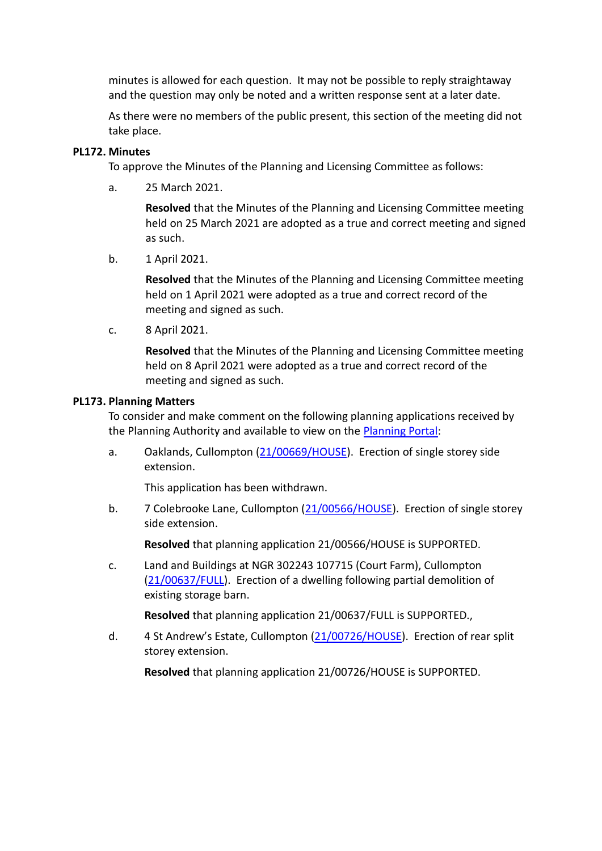minutes is allowed for each question. It may not be possible to reply straightaway and the question may only be noted and a written response sent at a later date.

As there were no members of the public present, this section of the meeting did not take place.

## **PL172. Minutes**

To approve the Minutes of the Planning and Licensing Committee as follows:

a. 25 March 2021.

**Resolved** that the Minutes of the Planning and Licensing Committee meeting held on 25 March 2021 are adopted as a true and correct meeting and signed as such.

b. 1 April 2021.

**Resolved** that the Minutes of the Planning and Licensing Committee meeting held on 1 April 2021 were adopted as a true and correct record of the meeting and signed as such.

c. 8 April 2021.

**Resolved** that the Minutes of the Planning and Licensing Committee meeting held on 8 April 2021 were adopted as a true and correct record of the meeting and signed as such.

## **PL173. Planning Matters**

To consider and make comment on the following planning applications received by the Planning Authority and available to view on the [Planning Portal:](https://planning.middevon.gov.uk/online-applications/)

a. Oaklands, Cullompton [\(21/00669/HOUSE\)](https://planning.middevon.gov.uk/online-applications/applicationDetails.do?activeTab=documents&keyVal=QR6T0CKS07T00). Erection of single storey side extension.

This application has been withdrawn.

b. 7 Colebrooke Lane, Cullompton [\(21/00566/HOUSE\)](https://planning.middevon.gov.uk/online-applications/applicationDetails.do?activeTab=documents&keyVal=QQFCLJKS05K00). Erection of single storey side extension.

**Resolved** that planning application 21/00566/HOUSE is SUPPORTED.

c. Land and Buildings at NGR 302243 107715 (Court Farm), Cullompton [\(21/00637/FULL\)](https://planning.middevon.gov.uk/online-applications/applicationDetails.do?activeTab=documents&keyVal=QQU95RKS04G01&prevPage=inTray). Erection of a dwelling following partial demolition of existing storage barn.

**Resolved** that planning application 21/00637/FULL is SUPPORTED.,

d. 4 St Andrew's Estate, Cullompton [\(21/00726/HOUSE\)](https://planning.middevon.gov.uk/online-applications/applicationDetails.do?activeTab=documents&keyVal=QRJV4MKS05K00). Erection of rear split storey extension.

**Resolved** that planning application 21/00726/HOUSE is SUPPORTED.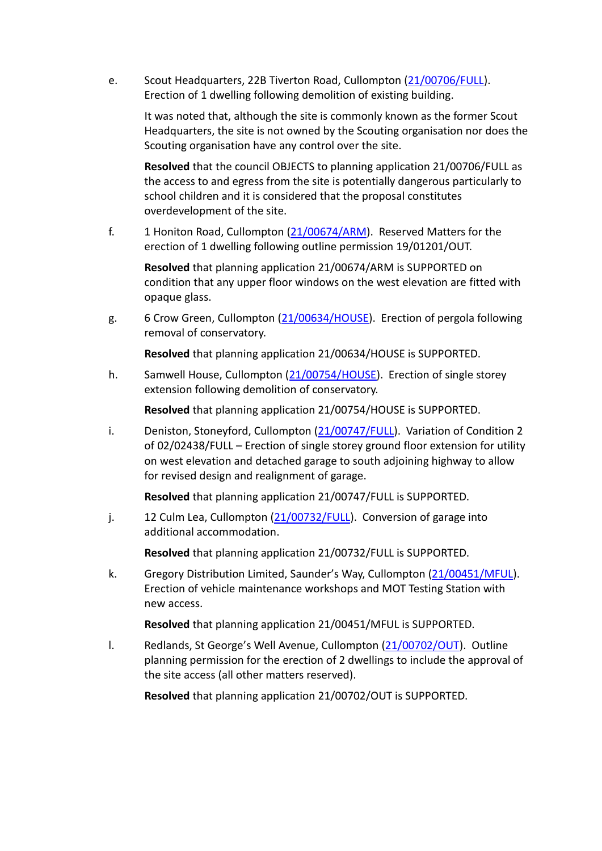e. Scout Headquarters, 22B Tiverton Road, Cullompton [\(21/00706/FULL\)](https://planning.middevon.gov.uk/online-applications/applicationDetails.do?activeTab=documents&keyVal=QRHY0YKS07T00). Erection of 1 dwelling following demolition of existing building.

It was noted that, although the site is commonly known as the former Scout Headquarters, the site is not owned by the Scouting organisation nor does the Scouting organisation have any control over the site.

**Resolved** that the council OBJECTS to planning application 21/00706/FULL as the access to and egress from the site is potentially dangerous particularly to school children and it is considered that the proposal constitutes overdevelopment of the site.

f. 1 Honiton Road, Cullompton [\(21/00674/ARM\)](https://planning.middevon.gov.uk/online-applications/applicationDetails.do?activeTab=documents&keyVal=QR6YO9KS07T00). Reserved Matters for the erection of 1 dwelling following outline permission 19/01201/OUT.

**Resolved** that planning application 21/00674/ARM is SUPPORTED on condition that any upper floor windows on the west elevation are fitted with opaque glass.

g. 6 Crow Green, Cullompton [\(21/00634/HOUSE\)](https://planning.middevon.gov.uk/online-applications/applicationDetails.do?activeTab=documents&keyVal=QQTYJFKS07T00). Erection of pergola following removal of conservatory.

**Resolved** that planning application 21/00634/HOUSE is SUPPORTED.

h. Samwell House, Cullompton [\(21/00754/HOUSE\)](https://planning.middevon.gov.uk/online-applications/applicationDetails.do?activeTab=documents&keyVal=QRSY8QKS07T00). Erection of single storey extension following demolition of conservatory.

**Resolved** that planning application 21/00754/HOUSE is SUPPORTED.

i. Deniston, Stoneyford, Cullompton [\(21/00747/FULL\)](https://planning.middevon.gov.uk/online-applications/applicationDetails.do?activeTab=documents&keyVal=QRND7YKS07T00). Variation of Condition 2 of 02/02438/FULL – Erection of single storey ground floor extension for utility on west elevation and detached garage to south adjoining highway to allow for revised design and realignment of garage.

**Resolved** that planning application 21/00747/FULL is SUPPORTED.

j. 12 Culm Lea, Cullompton [\(21/00732/FULL\)](https://planning.middevon.gov.uk/online-applications/applicationDetails.do?activeTab=documents&keyVal=QRK5JKKS04G00). Conversion of garage into additional accommodation.

**Resolved** that planning application 21/00732/FULL is SUPPORTED.

k. Gregory Distribution Limited, Saunder's Way, Cullompton [\(21/00451/MFUL\)](https://planning.middevon.gov.uk/online-applications/applicationDetails.do?activeTab=documents&keyVal=QPP5D4KS04G00). Erection of vehicle maintenance workshops and MOT Testing Station with new access.

**Resolved** that planning application 21/00451/MFUL is SUPPORTED.

l. Redlands, St George's Well Avenue, Cullompton [\(21/00702/OUT\)](https://planning.middevon.gov.uk/online-applications/applicationDetails.do?activeTab=documents&keyVal=QRHSINKS07T00). Outline planning permission for the erection of 2 dwellings to include the approval of the site access (all other matters reserved).

**Resolved** that planning application 21/00702/OUT is SUPPORTED.